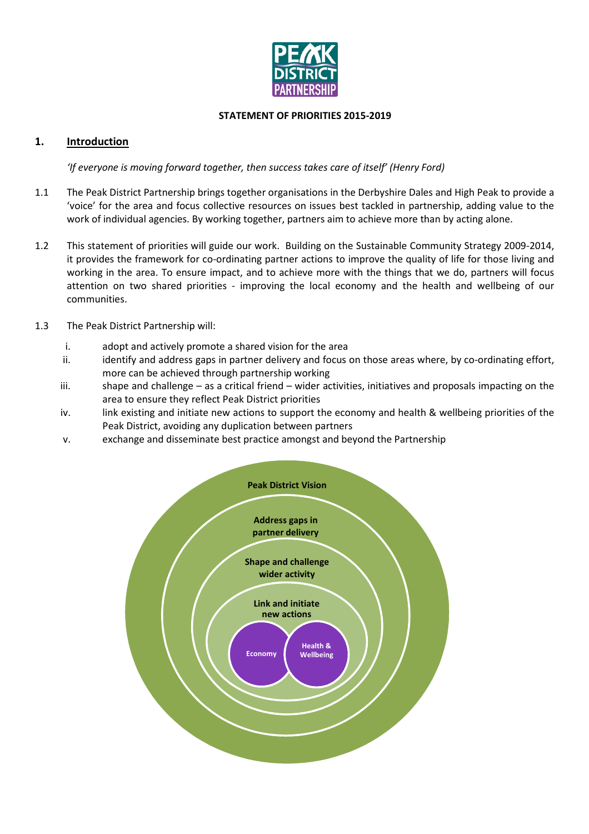

#### STATEMENT OF PRIORITIES 2015-2019

## 1. Introduction

'If everyone is moving forward together, then success takes care of itself' (Henry Ford)

- 1.1 The Peak District Partnership brings together organisations in the Derbyshire Dales and High Peak to provide a 'voice' for the area and focus collective resources on issues best tackled in partnership, adding value to the work of individual agencies. By working together, partners aim to achieve more than by acting alone.
- 1.2 This statement of priorities will guide our work. Building on the Sustainable Community Strategy 2009-2014, it provides the framework for co-ordinating partner actions to improve the quality of life for those living and working in the area. To ensure impact, and to achieve more with the things that we do, partners will focus attention on two shared priorities - improving the local economy and the health and wellbeing of our communities.
- 1.3 The Peak District Partnership will:
	- i. adopt and actively promote a shared vision for the area
	- ii. identify and address gaps in partner delivery and focus on those areas where, by co-ordinating effort, more can be achieved through partnership working
	- iii. shape and challenge as a critical friend wider activities, initiatives and proposals impacting on the area to ensure they reflect Peak District priorities
	- iv. link existing and initiate new actions to support the economy and health & wellbeing priorities of the Peak District, avoiding any duplication between partners
	- v. exchange and disseminate best practice amongst and beyond the Partnership

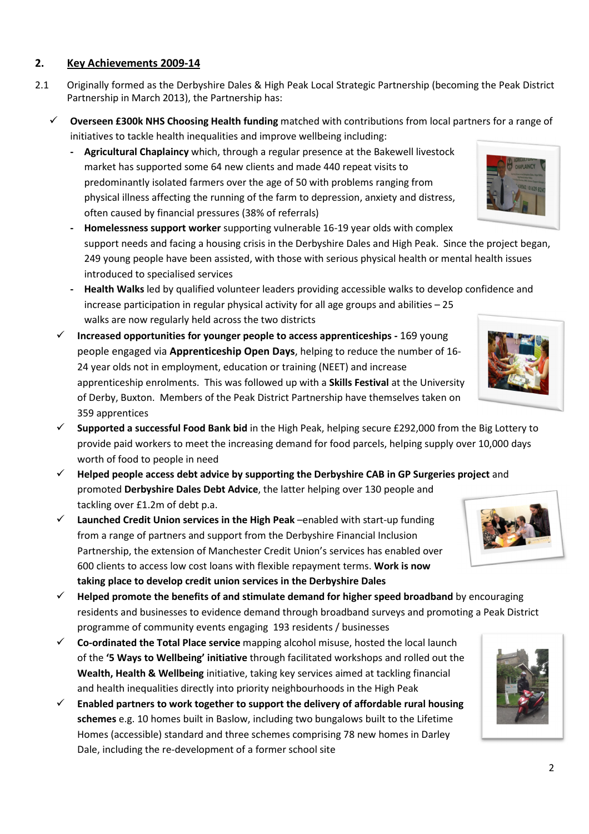## 2. Key Achievements 2009-14

- 2.1 Originally formed as the Derbyshire Dales & High Peak Local Strategic Partnership (becoming the Peak District Partnership in March 2013), the Partnership has:
	- $\checkmark$  Overseen £300k NHS Choosing Health funding matched with contributions from local partners for a range of initiatives to tackle health inequalities and improve wellbeing including:
		- Agricultural Chaplaincy which, through a regular presence at the Bakewell livestock market has supported some 64 new clients and made 440 repeat visits to predominantly isolated farmers over the age of 50 with problems ranging from physical illness affecting the running of the farm to depression, anxiety and distress, often caused by financial pressures (38% of referrals)

- Homelessness support worker supporting vulnerable 16-19 year olds with complex support needs and facing a housing crisis in the Derbyshire Dales and High Peak. Since the project began, 249 young people have been assisted, with those with serious physical health or mental health issues introduced to specialised services

- Health Walks led by qualified volunteer leaders providing accessible walks to develop confidence and increase participation in regular physical activity for all age groups and abilities – 25 walks are now regularly held across the two districts
- $\checkmark$  Increased opportunities for younger people to access apprenticeships 169 young people engaged via Apprenticeship Open Days, helping to reduce the number of 16- 24 year olds not in employment, education or training (NEET) and increase apprenticeship enrolments. This was followed up with a Skills Festival at the University of Derby, Buxton. Members of the Peak District Partnership have themselves taken on 359 apprentices
- $\checkmark$  Supported a successful Food Bank bid in the High Peak, helping secure £292,000 from the Big Lottery to provide paid workers to meet the increasing demand for food parcels, helping supply over 10,000 days worth of food to people in need
- $\checkmark$  Helped people access debt advice by supporting the Derbyshire CAB in GP Surgeries project and promoted Derbyshire Dales Debt Advice, the latter helping over 130 people and tackling over £1.2m of debt p.a.
- $\checkmark$  Launched Credit Union services in the High Peak –enabled with start-up funding from a range of partners and support from the Derbyshire Financial Inclusion Partnership, the extension of Manchester Credit Union's services has enabled over 600 clients to access low cost loans with flexible repayment terms. Work is now taking place to develop credit union services in the Derbyshire Dales
- $\checkmark$  Helped promote the benefits of and stimulate demand for higher speed broadband by encouraging residents and businesses to evidence demand through broadband surveys and promoting a Peak District programme of community events engaging 193 residents / businesses
- Co-ordinated the Total Place service mapping alcohol misuse, hosted the local launch of the '5 Ways to Wellbeing' initiative through facilitated workshops and rolled out the Wealth, Health & Wellbeing initiative, taking key services aimed at tackling financial and health inequalities directly into priority neighbourhoods in the High Peak
- $\checkmark$  Enabled partners to work together to support the delivery of affordable rural housing schemes e.g. 10 homes built in Baslow, including two bungalows built to the Lifetime Homes (accessible) standard and three schemes comprising 78 new homes in Darley Dale, including the re-development of a former school site





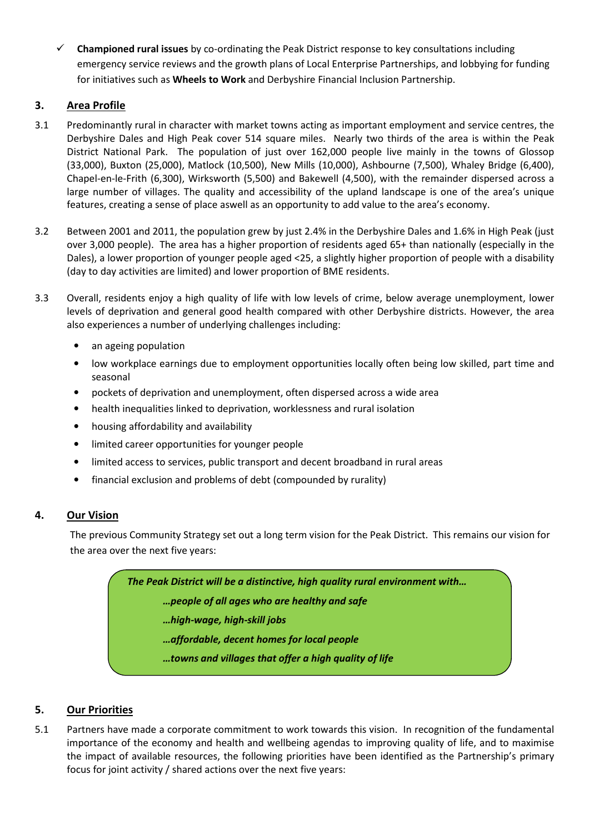$\checkmark$  Championed rural issues by co-ordinating the Peak District response to key consultations including emergency service reviews and the growth plans of Local Enterprise Partnerships, and lobbying for funding for initiatives such as Wheels to Work and Derbyshire Financial Inclusion Partnership.

# 3. Area Profile

- 3.1 Predominantly rural in character with market towns acting as important employment and service centres, the Derbyshire Dales and High Peak cover 514 square miles. Nearly two thirds of the area is within the Peak District National Park. The population of just over 162,000 people live mainly in the towns of Glossop (33,000), Buxton (25,000), Matlock (10,500), New Mills (10,000), Ashbourne (7,500), Whaley Bridge (6,400), Chapel-en-le-Frith (6,300), Wirksworth (5,500) and Bakewell (4,500), with the remainder dispersed across a large number of villages. The quality and accessibility of the upland landscape is one of the area's unique features, creating a sense of place aswell as an opportunity to add value to the area's economy.
- 3.2 Between 2001 and 2011, the population grew by just 2.4% in the Derbyshire Dales and 1.6% in High Peak (just over 3,000 people). The area has a higher proportion of residents aged 65+ than nationally (especially in the Dales), a lower proportion of younger people aged <25, a slightly higher proportion of people with a disability (day to day activities are limited) and lower proportion of BME residents.
- 3.3 Overall, residents enjoy a high quality of life with low levels of crime, below average unemployment, lower levels of deprivation and general good health compared with other Derbyshire districts. However, the area also experiences a number of underlying challenges including:
	- an ageing population
	- low workplace earnings due to employment opportunities locally often being low skilled, part time and seasonal
	- pockets of deprivation and unemployment, often dispersed across a wide area
	- health inequalities linked to deprivation, worklessness and rural isolation
	- housing affordability and availability
	- limited career opportunities for younger people
	- limited access to services, public transport and decent broadband in rural areas
	- financial exclusion and problems of debt (compounded by rurality)

## 4. Our Vision

 The previous Community Strategy set out a long term vision for the Peak District. This remains our vision for the area over the next five years:

The Peak District will be a distinctive, high quality rural environment with…

…people of all ages who are healthy and safe

- …high-wage, high-skill jobs
- …affordable, decent homes for local people

…towns and villages that offer a high quality of life

## 5. Our Priorities

5.1 Partners have made a corporate commitment to work towards this vision. In recognition of the fundamental importance of the economy and health and wellbeing agendas to improving quality of life, and to maximise the impact of available resources, the following priorities have been identified as the Partnership's primary focus for joint activity / shared actions over the next five years: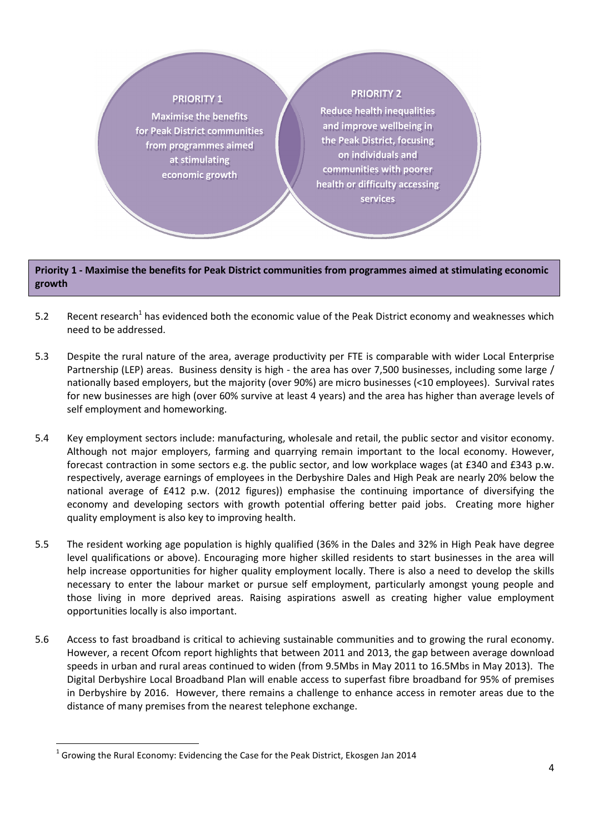#### **PRIORITY 1**

Maximise the benefits for Peak District communities from programmes aimed at stimulating economic growth

### **PRIORITY 2**

Reduce health inequalities and improve wellbeing in the Peak District, focusing on individuals and communities with poorer health or difficulty accessing services

#### Priority 1 - Maximise the benefits for Peak District communities from programmes aimed at stimulating economic growth

- 5.2 Recent research<sup>1</sup> has evidenced both the economic value of the Peak District economy and weaknesses which need to be addressed.
- 5.3 Despite the rural nature of the area, average productivity per FTE is comparable with wider Local Enterprise Partnership (LEP) areas. Business density is high - the area has over 7,500 businesses, including some large / nationally based employers, but the majority (over 90%) are micro businesses (<10 employees). Survival rates for new businesses are high (over 60% survive at least 4 years) and the area has higher than average levels of self employment and homeworking.
- 5.4 Key employment sectors include: manufacturing, wholesale and retail, the public sector and visitor economy. Although not major employers, farming and quarrying remain important to the local economy. However, forecast contraction in some sectors e.g. the public sector, and low workplace wages (at £340 and £343 p.w. respectively, average earnings of employees in the Derbyshire Dales and High Peak are nearly 20% below the national average of £412 p.w. (2012 figures)) emphasise the continuing importance of diversifying the economy and developing sectors with growth potential offering better paid jobs. Creating more higher quality employment is also key to improving health.
- 5.5 The resident working age population is highly qualified (36% in the Dales and 32% in High Peak have degree level qualifications or above). Encouraging more higher skilled residents to start businesses in the area will help increase opportunities for higher quality employment locally. There is also a need to develop the skills necessary to enter the labour market or pursue self employment, particularly amongst young people and those living in more deprived areas. Raising aspirations aswell as creating higher value employment opportunities locally is also important.
- 5.6 Access to fast broadband is critical to achieving sustainable communities and to growing the rural economy. However, a recent Ofcom report highlights that between 2011 and 2013, the gap between average download speeds in urban and rural areas continued to widen (from 9.5Mbs in May 2011 to 16.5Mbs in May 2013). The Digital Derbyshire Local Broadband Plan will enable access to superfast fibre broadband for 95% of premises in Derbyshire by 2016. However, there remains a challenge to enhance access in remoter areas due to the distance of many premises from the nearest telephone exchange.

l

 $^1$  Growing the Rural Economy: Evidencing the Case for the Peak District, Ekosgen Jan 2014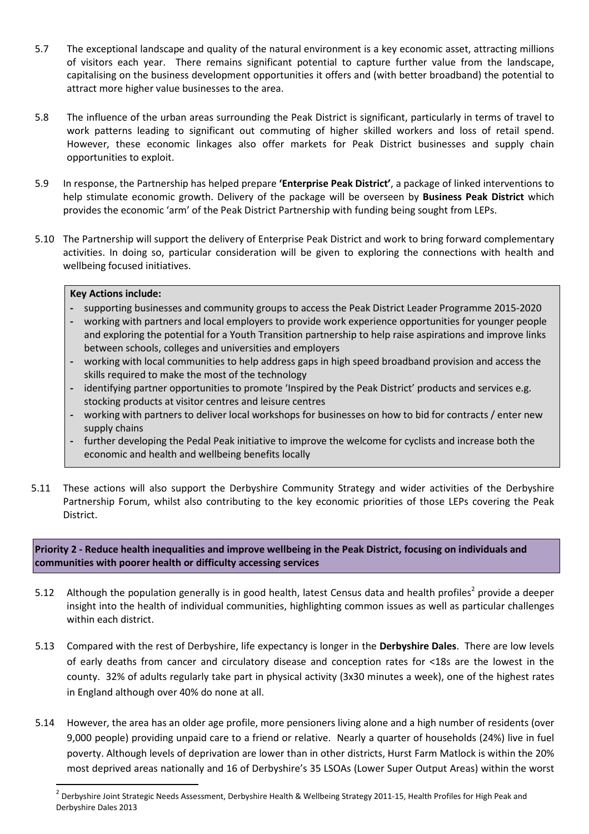- 5.7 The exceptional landscape and quality of the natural environment is a key economic asset, attracting millions of visitors each year. There remains significant potential to capture further value from the landscape, capitalising on the business development opportunities it offers and (with better broadband) the potential to attract more higher value businesses to the area.
- 5.8 The influence of the urban areas surrounding the Peak District is significant, particularly in terms of travel to work patterns leading to significant out commuting of higher skilled workers and loss of retail spend. However, these economic linkages also offer markets for Peak District businesses and supply chain opportunities to exploit.
- 5.9 In response, the Partnership has helped prepare 'Enterprise Peak District', a package of linked interventions to help stimulate economic growth. Delivery of the package will be overseen by **Business Peak District** which provides the economic 'arm' of the Peak District Partnership with funding being sought from LEPs.
- 5.10 The Partnership will support the delivery of Enterprise Peak District and work to bring forward complementary activities. In doing so, particular consideration will be given to exploring the connections with health and wellbeing focused initiatives.

#### Key Actions include:

 $\overline{\phantom{0}}$ 

- supporting businesses and community groups to access the Peak District Leader Programme 2015-2020
- working with partners and local employers to provide work experience opportunities for younger people and exploring the potential for a Youth Transition partnership to help raise aspirations and improve links between schools, colleges and universities and employers
- working with local communities to help address gaps in high speed broadband provision and access the skills required to make the most of the technology
- identifying partner opportunities to promote 'Inspired by the Peak District' products and services e.g. stocking products at visitor centres and leisure centres
- working with partners to deliver local workshops for businesses on how to bid for contracts / enter new supply chains
- further developing the Pedal Peak initiative to improve the welcome for cyclists and increase both the economic and health and wellbeing benefits locally
- 5.11 These actions will also support the Derbyshire Community Strategy and wider activities of the Derbyshire Partnership Forum, whilst also contributing to the key economic priorities of those LEPs covering the Peak District.

Priority 2 - Reduce health inequalities and improve wellbeing in the Peak District, focusing on individuals and communities with poorer health or difficulty accessing services

- 5.12 Although the population generally is in good health, latest Census data and health profiles<sup>2</sup> provide a deeper insight into the health of individual communities, highlighting common issues as well as particular challenges within each district.
- 5.13 Compared with the rest of Derbyshire, life expectancy is longer in the Derbyshire Dales. There are low levels of early deaths from cancer and circulatory disease and conception rates for <18s are the lowest in the county. 32% of adults regularly take part in physical activity (3x30 minutes a week), one of the highest rates in England although over 40% do none at all.
- 5.14 However, the area has an older age profile, more pensioners living alone and a high number of residents (over 9,000 people) providing unpaid care to a friend or relative. Nearly a quarter of households (24%) live in fuel poverty. Although levels of deprivation are lower than in other districts, Hurst Farm Matlock is within the 20% most deprived areas nationally and 16 of Derbyshire's 35 LSOAs (Lower Super Output Areas) within the worst

<sup>2</sup> Derbyshire Joint Strategic Needs Assessment, Derbyshire Health & Wellbeing Strategy 2011-15, Health Profiles for High Peak and Derbyshire Dales 2013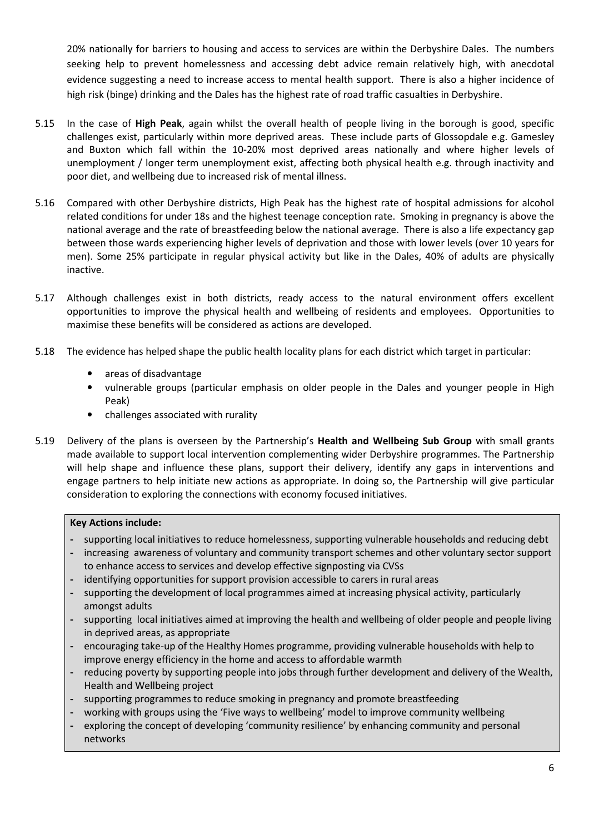20% nationally for barriers to housing and access to services are within the Derbyshire Dales. The numbers seeking help to prevent homelessness and accessing debt advice remain relatively high, with anecdotal evidence suggesting a need to increase access to mental health support. There is also a higher incidence of high risk (binge) drinking and the Dales has the highest rate of road traffic casualties in Derbyshire.

- 5.15 In the case of High Peak, again whilst the overall health of people living in the borough is good, specific challenges exist, particularly within more deprived areas. These include parts of Glossopdale e.g. Gamesley and Buxton which fall within the 10-20% most deprived areas nationally and where higher levels of unemployment / longer term unemployment exist, affecting both physical health e.g. through inactivity and poor diet, and wellbeing due to increased risk of mental illness.
- 5.16 Compared with other Derbyshire districts, High Peak has the highest rate of hospital admissions for alcohol related conditions for under 18s and the highest teenage conception rate. Smoking in pregnancy is above the national average and the rate of breastfeeding below the national average. There is also a life expectancy gap between those wards experiencing higher levels of deprivation and those with lower levels (over 10 years for men). Some 25% participate in regular physical activity but like in the Dales, 40% of adults are physically inactive.
- 5.17 Although challenges exist in both districts, ready access to the natural environment offers excellent opportunities to improve the physical health and wellbeing of residents and employees. Opportunities to maximise these benefits will be considered as actions are developed.
- 5.18 The evidence has helped shape the public health locality plans for each district which target in particular:
	- areas of disadvantage
	- vulnerable groups (particular emphasis on older people in the Dales and younger people in High Peak)
	- challenges associated with rurality
- 5.19 Delivery of the plans is overseen by the Partnership's Health and Wellbeing Sub Group with small grants made available to support local intervention complementing wider Derbyshire programmes. The Partnership will help shape and influence these plans, support their delivery, identify any gaps in interventions and engage partners to help initiate new actions as appropriate. In doing so, the Partnership will give particular consideration to exploring the connections with economy focused initiatives.

#### Key Actions include:

- supporting local initiatives to reduce homelessness, supporting vulnerable households and reducing debt
- increasing awareness of voluntary and community transport schemes and other voluntary sector support to enhance access to services and develop effective signposting via CVSs
- identifying opportunities for support provision accessible to carers in rural areas
- supporting the development of local programmes aimed at increasing physical activity, particularly amongst adults
- supporting local initiatives aimed at improving the health and wellbeing of older people and people living in deprived areas, as appropriate
- encouraging take-up of the Healthy Homes programme, providing vulnerable households with help to improve energy efficiency in the home and access to affordable warmth
- reducing poverty by supporting people into jobs through further development and delivery of the Wealth, Health and Wellbeing project
- supporting programmes to reduce smoking in pregnancy and promote breastfeeding
- working with groups using the 'Five ways to wellbeing' model to improve community wellbeing
- exploring the concept of developing 'community resilience' by enhancing community and personal networks